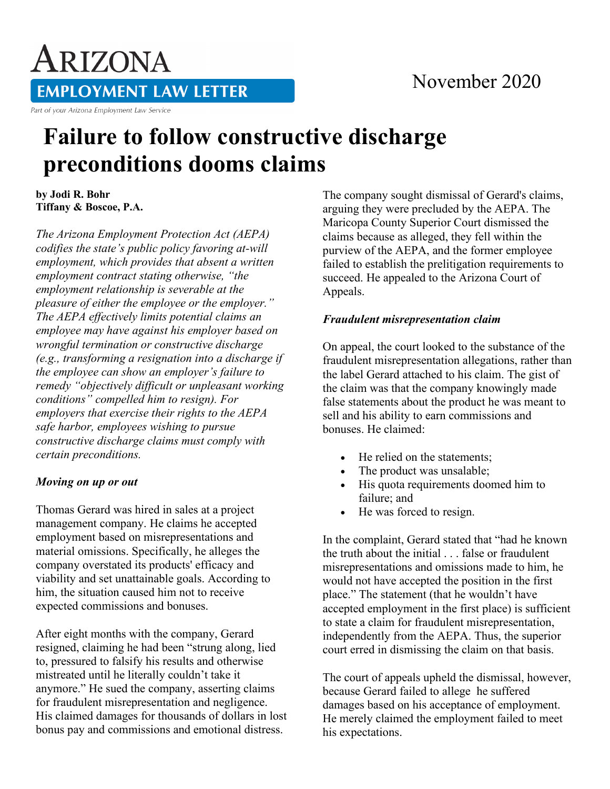## November 2020

ARIZONA **EMPLOYMENT LAW LETTER** 

Part of your Arizona Employment Law Service

# **Failure to follow constructive discharge preconditions dooms claims**

**by Jodi R. Bohr Tiffany & Boscoe, P.A.**

*The Arizona Employment Protection Act (AEPA) codifies the state's public policy favoring at-will employment, which provides that absent a written employment contract stating otherwise, "the employment relationship is severable at the pleasure of either the employee or the employer." The AEPA effectively limits potential claims an employee may have against his employer based on wrongful termination or constructive discharge (e.g., transforming a resignation into a discharge if the employee can show an employer's failure to remedy "objectively difficult or unpleasant working conditions" compelled him to resign). For employers that exercise their rights to the AEPA safe harbor, employees wishing to pursue constructive discharge claims must comply with certain preconditions.*

#### *Moving on up or out*

Thomas Gerard was hired in sales at a project management company. He claims he accepted employment based on misrepresentations and material omissions. Specifically, he alleges the company overstated its products' efficacy and viability and set unattainable goals. According to him, the situation caused him not to receive expected commissions and bonuses.

After eight months with the company, Gerard resigned, claiming he had been "strung along, lied to, pressured to falsify his results and otherwise mistreated until he literally couldn't take it anymore." He sued the company, asserting claims for fraudulent misrepresentation and negligence. His claimed damages for thousands of dollars in lost bonus pay and commissions and emotional distress.

The company sought dismissal of Gerard's claims, arguing they were precluded by the AEPA. The Maricopa County Superior Court dismissed the claims because as alleged, they fell within the purview of the AEPA, and the former employee failed to establish the prelitigation requirements to succeed. He appealed to the Arizona Court of Appeals.

#### *Fraudulent misrepresentation claim*

On appeal, the court looked to the substance of the fraudulent misrepresentation allegations, rather than the label Gerard attached to his claim. The gist of the claim was that the company knowingly made false statements about the product he was meant to sell and his ability to earn commissions and bonuses. He claimed:

- He relied on the statements:
- The product was unsalable;
- His quota requirements doomed him to failure; and
- He was forced to resign.

In the complaint, Gerard stated that "had he known the truth about the initial . . . false or fraudulent misrepresentations and omissions made to him, he would not have accepted the position in the first place." The statement (that he wouldn't have accepted employment in the first place) is sufficient to state a claim for fraudulent misrepresentation, independently from the AEPA. Thus, the superior court erred in dismissing the claim on that basis.

The court of appeals upheld the dismissal, however, because Gerard failed to allege he suffered damages based on his acceptance of employment. He merely claimed the employment failed to meet his expectations.